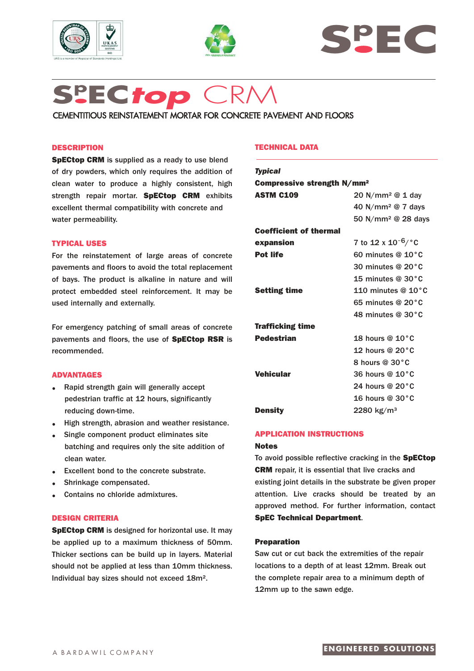





# **Sp EC***top* CRM

CEMENTITIOUS REINSTATEMENT MORTAR FOR CONCRETE PAVEMENT AND FLOORS

# **DESCRIPTION**

**SpECtop CRM** is supplied as a ready to use blend of dry powders, which only requires the addition of clean water to produce a highly consistent, high strength repair mortar. **SpECtop CRM** exhibits excellent thermal compatibility with concrete and water permeability.

## **TYPICAL USES**

For the reinstatement of large areas of concrete pavements and floors to avoid the total replacement of bays. The product is alkaline in nature and will protect embedded steel reinforcement. It may be used internally and externally.

For emergency patching of small areas of concrete pavements and floors, the use of **SpECtop RSR** is recommended.

# **ADVANTAGES**

- **.** Rapid strength gain will generally accept pedestrian traffic at 12 hours, significantly reducing down-time.
- **.** High strength, abrasion and weather resistance.
- **.** Single component product eliminates site batching and requires only the site addition of clean water.
- **.** Excellent bond to the concrete substrate.
- **.** Shrinkage compensated.
- **.** Contains no chloride admixtures.

# **DESIGN CRITERIA**

**SpECtop CRM** is designed for horizontal use. It may be applied up to a maximum thickness of 50mm. Thicker sections can be build up in layers. Material should not be applied at less than 10mm thickness. Individual bay sizes should not exceed 18m².

# **TECHNICAL DATA**

| Compressive strength N/mm <sup>2</sup>    |
|-------------------------------------------|
| 20 N/mm <sup>2</sup> @ 1 day              |
| 40 N/mm <sup>2</sup> @ 7 days             |
| 50 N/mm <sup>2</sup> @ 28 days            |
|                                           |
| 7 to 12 x 10 <sup>-6</sup> / $^{\circ}$ C |
| 60 minutes @ $10^{\circ}$ C               |
| 30 minutes @ $20^{\circ}$ C               |
| 15 minutes $@30°C$                        |
| 110 minutes @ $10^{\circ}$ C              |
| 65 minutes @ 20°C                         |
| 48 minutes $@30°C$                        |
|                                           |
| 18 hours @ $10^{\circ}$ C                 |
| 12 hours @ $20^{\circ}$ C                 |
| 8 hours @ 30°C                            |
| 36 hours @ 10°C                           |
| 24 hours @ 20°C                           |
| 16 hours @ $30^{\circ}$ C                 |
| $2280 \; \mathrm{kg/m^3}$                 |
|                                           |

#### **APPLICATION INSTRUCTIONS**

#### **Notes**

To avoid possible reflective cracking in the **SpECtop CRM** repair, it is essential that live cracks and existing joint details in the substrate be given proper attention. Live cracks should be treated by an approved method. For further information, contact **SpEC Technical Department**.

#### **Preparation**

Saw cut or cut back the extremities of the repair locations to a depth of at least 12mm. Break out the complete repair area to a minimum depth of 12mm up to the sawn edge.

# **ENGINEERED SOLUTIONS**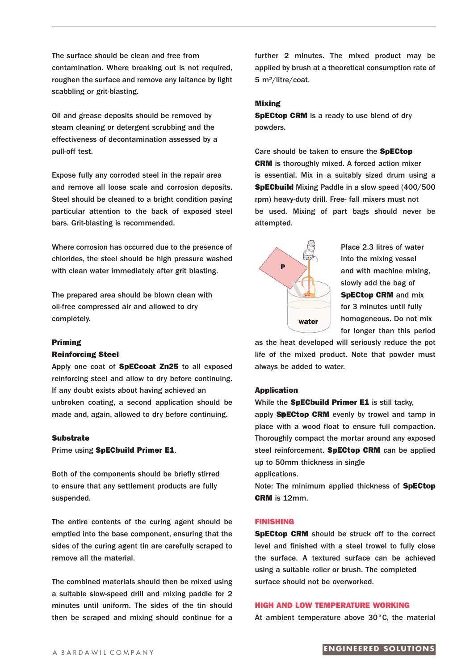The surface should be clean and free from contamination. Where breaking out is not required, roughen the surface and remove any laitance by light scabbling or grit-blasting.

Oil and grease deposits should be removed by steam cleaning or detergent scrubbing and the effectiveness of decontamination assessed by a pull-off test.

Expose fully any corroded steel in the repair area and remove all loose scale and corrosion deposits. Steel should be cleaned to a bright condition paying particular attention to the back of exposed steel bars. Grit-blasting is recommended.

Where corrosion has occurred due to the presence of chlorides, the steel should be high pressure washed with clean water immediately after grit blasting.

The prepared area should be blown clean with oil-free compressed air and allowed to dry completely.

#### **Priming**

#### **Reinforcing Steel**

Apply one coat of **SpECcoat Zn25** to all exposed reinforcing steel and allow to dry before continuing. If any doubt exists about having achieved an unbroken coating, a second application should be made and, again, allowed to dry before continuing.

#### **Substrate**

Prime using **SpECbuild Primer E1**.

Both of the components should be briefly stirred to ensure that any settlement products are fully suspended.

The entire contents of the curing agent should be emptied into the base component, ensuring that the sides of the curing agent tin are carefully scraped to remove all the material.

The combined materials should then be mixed using a suitable slow-speed drill and mixing paddle for 2 minutes until uniform. The sides of the tin should then be scraped and mixing should continue for a further 2 minutes. The mixed product may be applied by brush at a theoretical consumption rate of 5 m²/litre/coat.

#### **Mixing**

**SpECtop CRM** is a ready to use blend of dry powders.

Care should be taken to ensure the **SpECtop CRM** is thoroughly mixed. A forced action mixer is essential. Mix in a suitably sized drum using a **SpECbuild** Mixing Paddle in a slow speed (400/500 rpm) heavy-duty drill. Free- fall mixers must not be used. Mixing of part bags should never be attempted.



Place 2.3 litres of water into the mixing vessel and with machine mixing, slowly add the bag of **SpECtop CRM** and mix for 3 minutes until fully homogeneous. Do not mix for longer than this period

as the heat developed will seriously reduce the pot life of the mixed product. Note that powder must always be added to water.

#### **Application**

While the **SpECbuild Primer E1** is still tacky,

apply **SpECtop CRM** evenly by trowel and tamp in **F** place with a wood float to ensure full compaction. Thoroughly compact the mortar around any exposed steel reinforcement. **SpECtop CRM** can be applied up to 50mm thickness in single

applications.

Note: The minimum applied thickness of **SpECtop CRM** is 12mm.

#### **FINISHING**

**SpECtop CRM** should be struck off to the correct level and finished with a steel trowel to fully close the surface. A textured surface can be achieved using a suitable roller or brush. The completed surface should not be overworked.

# **HIGH AND LOW TEMPERATURE WORKING**

At ambient temperature above 30°C, the material

# A BARDAWII COMPANY **ENGINEERED SOLUTIONS**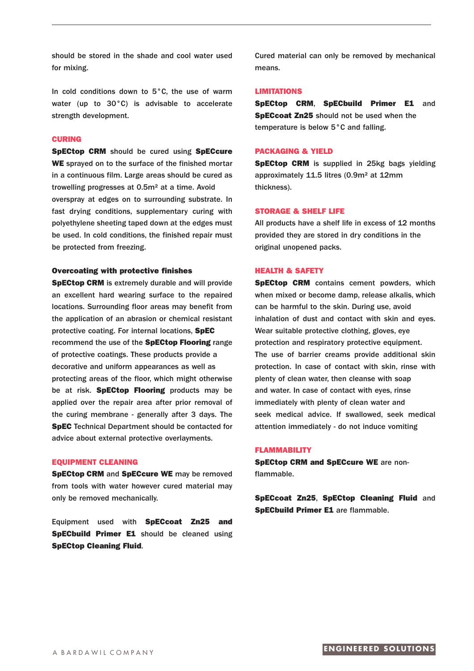should be stored in the shade and cool water used for mixing.

In cold conditions down to 5°C, the use of warm water (up to 30°C) is advisable to accelerate strength development.

# **CURING**

**SpECtop CRM** should be cured using **SpECcure WE** sprayed on to the surface of the finished mortar in a continuous film. Large areas should be cured as trowelling progresses at 0.5m² at a time. Avoid overspray at edges on to surrounding substrate. In fast drying conditions, supplementary curing with polyethylene sheeting taped down at the edges must be used. In cold conditions, the finished repair must be protected from freezing.

# **Overcoating with protective finishes**

**SpECtop CRM** is extremely durable and will provide an excellent hard wearing surface to the repaired locations. Surrounding floor areas may benefit from the application of an abrasion or chemical resistant protective coating. For internal locations, **SpEC** recommend the use of the **SpECtop Flooring** range of protective coatings. These products provide a decorative and uniform appearances as well as protecting areas of the floor, which might otherwise be at risk. **SpECtop Flooring** products may be applied over the repair area after prior removal of the curing membrane - generally after 3 days. The **SpEC** Technical Department should be contacted for advice about external protective overlayments.

#### **EQUIPMENT CLEANING**

**SpECtop CRM** and **SpECcure WE** may be removed from tools with water however cured material may only be removed mechanically.

Equipment used with **SpECcoat Zn25 and SpECbuild Primer E1** should be cleaned using **SpECtop Cleaning Fluid**.

Cured material can only be removed by mechanical means.

#### **LIMITATIONS**

**SpECtop CRM**, **SpECbuild Primer E1** and **SpECcoat Zn25** should not be used when the temperature is below 5°C and falling.

# **PACKAGING & YIELD**

**SpECtop CRM** is supplied in 25kg bags yielding approximately 11.5 litres (0.9m² at 12mm thickness).

#### **STORAGE & SHELF LIFE**

All products have a shelf life in excess of 12 months provided they are stored in dry conditions in the original unopened packs.

#### **HEALTH & SAFETY**

**SpECtop CRM** contains cement powders, which when mixed or become damp, release alkalis, which can be harmful to the skin. During use, avoid inhalation of dust and contact with skin and eyes. Wear suitable protective clothing, gloves, eye protection and respiratory protective equipment. The use of barrier creams provide additional skin protection. In case of contact with skin, rinse with plenty of clean water, then cleanse with soap and water. In case of contact with eyes, rinse immediately with plenty of clean water and seek medical advice. If swallowed, seek medical attention immediately - do not induce vomiting

#### **FLAMMABILITY**

**SpECtop CRM and SpECcure WE** are nonflammable.

**SpECcoat Zn25**, **SpECtop Cleaning Fluid** and **SpECbuild Primer E1** are flammable.